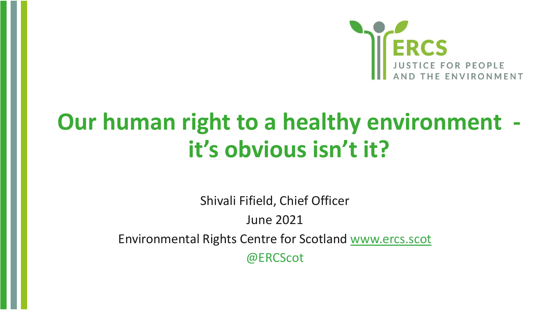

## **Our human right to a healthy environment it's obvious isn't it?**

Shivali Fifield, Chief Officer June 2021 Environmental Rights Centre for Scotland [www.ercs.scot](http://www.ercs.scot/) @ERCScot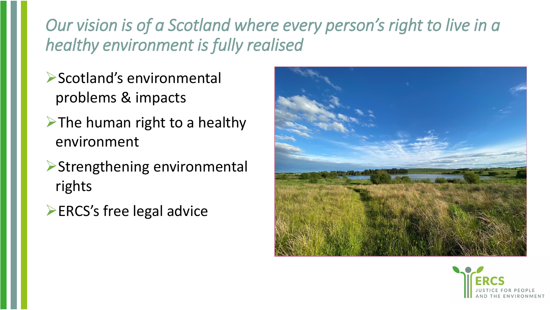## *Our vision is of a Scotland where every person's right to live in a healthy environment is fully realised*

- **▶Scotland's environmental** problems & impacts
- ➢The human right to a healthy environment
- ➢Strengthening environmental rights
- ➢ERCS's free legal advice



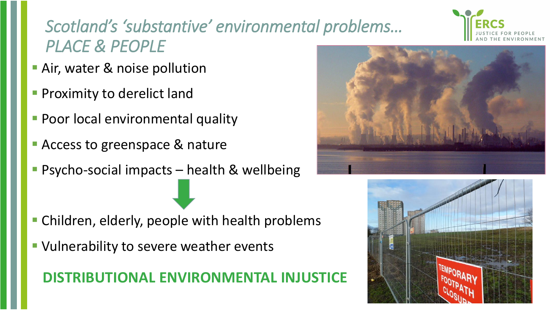## *Scotland's 'substantive' environmental problems… PLACE & PEOPLE*

- **Air, water & noise pollution**
- **Proximity to derelict land**
- **Poor local environmental quality**
- Access to greenspace & nature
- Psycho-social impacts health & wellbeing

- **E** Children, elderly, people with health problems
- **URIMIDE Vulnerability to severe weather events**

### **DISTRIBUTIONAL ENVIRONMENTAL IN**





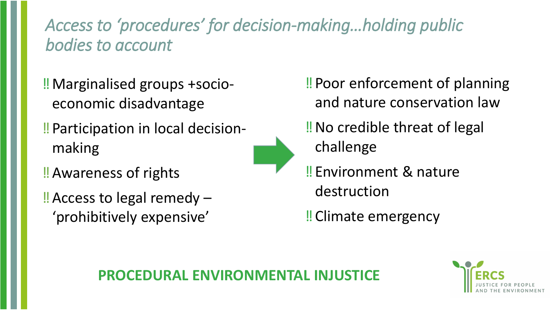## *Access to 'procedures' for decision-making…holding public bodies to account*

- *altnvirisy realised* ‼Marginalised groups +socioeconomic disadvantage
- ‼Participation in local decisionmaking
- ‼Awareness of rights
- ‼Access to legal remedy 'prohibitively expensive'



- ‼No credible threat of legal challenge
- ‼Environment & nature destruction

‼Climate emergency

### **PROCEDURAL ENVIRONMENTAL**

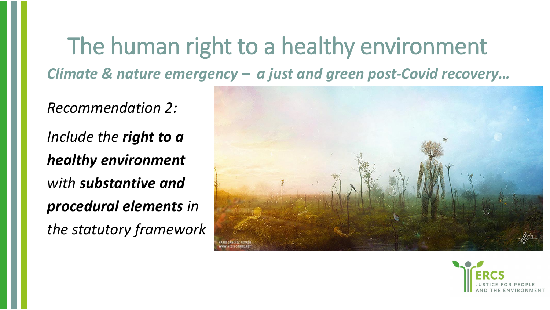## The human right to a healthy environment *Climate & nature emergency – a just and green post-Covid recovery…*

*Recommendation 2: Include the right to a healthy environment with substantive and procedural elements in the statutory framework*



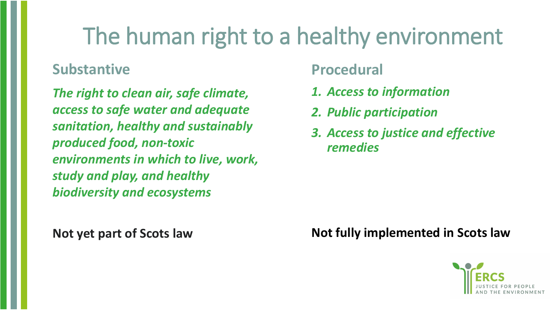# The human right to a healthy environment

### **Substantive**

*The right to clean air, safe climate, access to safe water and adequate sanitation, healthy and sustainably produced food, non-toxic environments in which to live, work, study and play, and healthy biodiversity and ecosystems*

#### **Not yet part of Scots law**

### **Procedural**

- *1. Access to information*
- *2. Public participation*
- *3. Access to justice and effective remedies*

#### **Not fully implemented in Scots law**

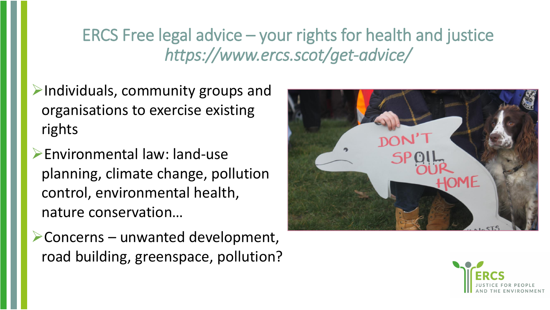## ERCS Free legal advice – your rights for health and justice *https://www.ercs.scot/get-advice/*

- ➢Individuals, community groups and organisations to exercise existing rights
- ➢Environmental law: land-use planning, climate change, pollution control, environmental health, nature conservation…
- ➢Concerns unwanted development, road building, greenspace, pollution?